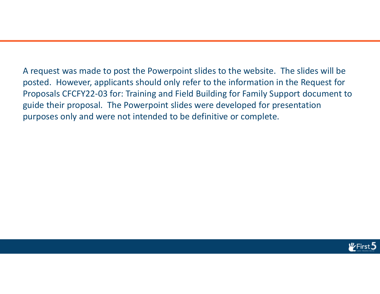A request was made to post the Powerpoint slides to the website. The slides will be posted. However, applicants should only refer to the information in the Request for Proposals CFCFY22‐03 for: Training and Field Building for Family Support document to guide their proposal. The Powerpoint slides were developed for presentation purposes only and were not intended to be definitive or complete.

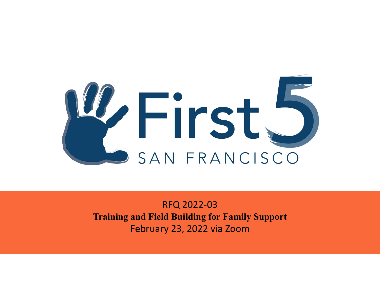

RFQ 2022‐03 **Training and Field Building for Family Support** February 23, 2022 via Zoom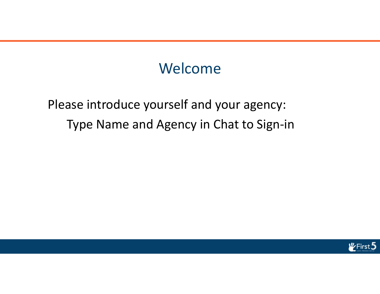# Welcome

# Please introduce yourself and your agency: Type Name and Agency in Chat to Sign‐in

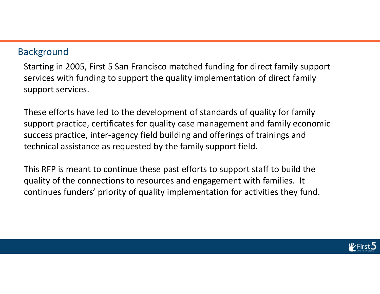### Background

Starting in 2005, First 5 San Francisco matched funding for direct family support services with funding to support the quality implementation of direct family support services.

These efforts have led to the development of standards of quality for family support practice, certificates for quality case management and family economic success practice, inter‐agency field building and offerings of trainings and technical assistance as requested by the family support field.

This RFP is meant to continue these past efforts to support staff to build the quality of the connections to resources and engagement with families. It continues funders' priority of quality implementation for activities they fund.

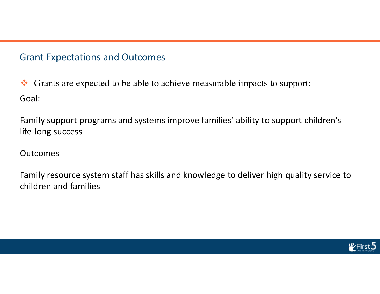### Grant Expectations and Outcomes

 $\frac{1}{2}$  Grants are expected to be able to achieve measurable impacts to support: Goal:

Family support programs and systems improve families' ability to support children's life‐long success

#### **Outcomes**

Family resource system staff has skills and knowledge to deliver high quality service to children and families

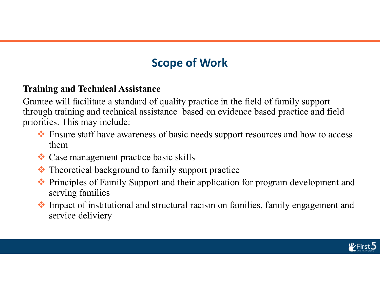### **Training and Technical Assistance**

Grantee will facilitate a standard of quality practice in the field of family support through training and technical assistance based on evidence based practice and field priorities. This may include:

- Ensure staff have awareness of basic needs support resources and how to access them
- Case management practice basic skills
- $\sum_{i=1}^{n}$ Theoretical background to family support practice
- Principles of Family Support and their application for program development and serving families
- Impact of institutional and structural racism on families, family engagement and service deliviery

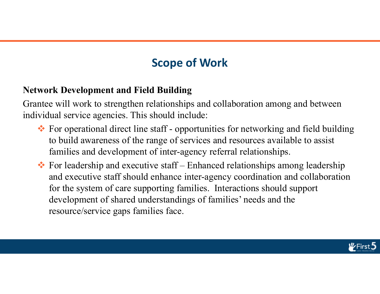## **Network Development and Field Building**

Grantee will work to strengthen relationships and collaboration among and between individual service agencies. This should include:

- For operational direct line staff opportunities for networking and field building to build awareness of the range of services and resources available to assist families and development of inter-agency referral relationships.
- $\bullet$  For leadership and executive staff Enhanced relationships among leadership and executive staff should enhance inter-agency coordination and collaboration for the system of care supporting families. Interactions should support development of shared understandings of families' needs and the resource/service gaps families face.

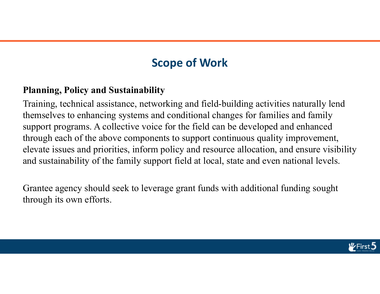### **Planning, Policy and Sustainability**

Training, technical assistance, networking and field-building activities naturally lend themselves to enhancing systems and conditional changes for families and family support programs. A collective voice for the field can be developed and enhanced through each of the above components to support continuous quality improvement, elevate issues and priorities, inform policy and resource allocation, and ensure visibility and sustainability of the family support field at local, state and even national levels.

Grantee agency should seek to leverage grant funds with additional funding sought through its own efforts.

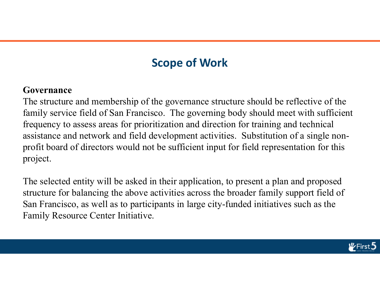#### **Governance**

The structure and membership of the governance structure should be reflective of the family service field of San Francisco. The governing body should meet with sufficient frequency to assess areas for prioritization and direction for training and technical assistance and network and field development activities. Substitution of a single nonprofit board of directors would not be sufficient input for field representation for this project.

The selected entity will be asked in their application, to present a plan and proposed structure for balancing the above activities across the broader family support field of San Francisco, as well as to participants in large city-funded initiatives such as the Family Resource Center Initiative.

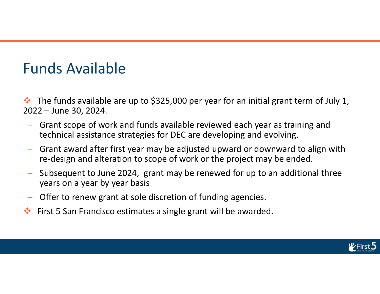# Funds Available

 $\cdot \cdot$  The funds available are up to \$325,000 per year for an initial grant term of July 1, 2022 – June 30, 2024.

- – Grant scope of work and funds available reviewed each year as training and technical assistance strategies for DEC are developing and evolving.
- – Grant award after first year may be adjusted upward or downward to align with re-design and alteration to scope of work or the project may be ended.
- – Subsequent to June 2024, grant may be renewed for up to an additional three years on a year by year basis
- Offer to renew grant at sole discretion of funding agencies.
- 参 First 5 San Francisco estimates a single grant will be awarded.

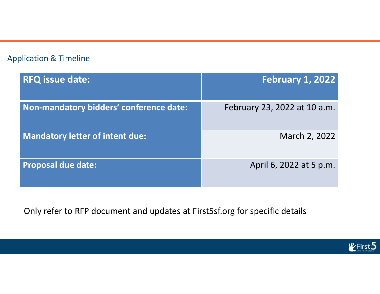#### Application & Timeline

| <b>RFQ issue date:</b>                         | <b>February 1, 2022</b>      |
|------------------------------------------------|------------------------------|
| <b>Non-mandatory bidders' conference date:</b> | February 23, 2022 at 10 a.m. |
| <b>Mandatory letter of intent due:</b>         | March 2, 2022                |
| <b>Proposal due date:</b>                      | April 6, 2022 at 5 p.m.      |

Only refer to RFP document and updates at First5sf.org for specific details

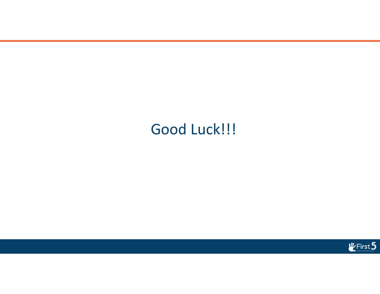# Good Luck!!!